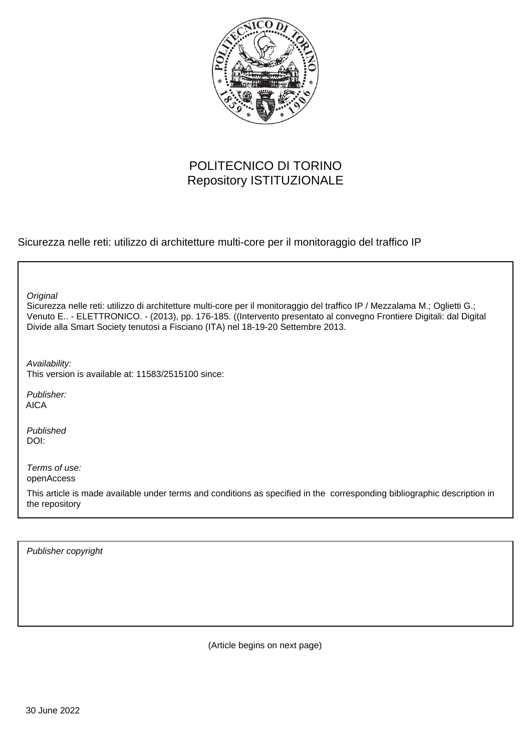

## POLITECNICO DI TORINO Repository ISTITUZIONALE

Sicurezza nelle reti: utilizzo di architetture multi-core per il monitoraggio del traffico IP

Sicurezza nelle reti: utilizzo di architetture multi-core per il monitoraggio del traffico IP / Mezzalama M.; Oglietti G.; Venuto E.. - ELETTRONICO. - (2013), pp. 176-185. ((Intervento presentato al convegno Frontiere Digitali: dal Digital Divide alla Smart Society tenutosi a Fisciano (ITA) nel 18-19-20 Settembre 2013. **Original** Publisher: Published DOI: Terms of use: openAccess Availability: This version is available at: 11583/2515100 since: AICA

This article is made available under terms and conditions as specified in the corresponding bibliographic description in the repository

Publisher copyright

(Article begins on next page)